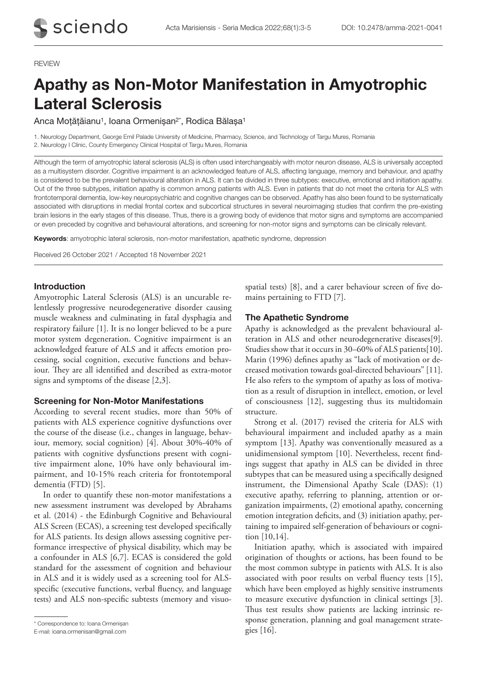### REVIEW

# Apathy as Non-Motor Manifestation in Amyotrophic Lateral Sclerosis

Anca Moțățăianu<sup>1</sup>, Ioana Ormenișan<sup>2\*</sup>, Rodica Bălașa<sup>1</sup>

1. Neurology Department, George Emil Palade University of Medicine, Pharmacy, Science, and Technology of Targu Mures, Romania 2. Neurology I Clinic, County Emergency Clinical Hospital of Targu Mures, Romania

Although the term of amyotrophic lateral sclerosis (ALS) is often used interchangeably with motor neuron disease, ALS is universally accepted as a multisystem disorder. Cognitive impairment is an acknowledged feature of ALS, affecting language, memory and behaviour, and apathy is considered to be the prevalent behavioural alteration in ALS. It can be divided in three subtypes: executive, emotional and initiation apathy. Out of the three subtypes, initiation apathy is common among patients with ALS. Even in patients that do not meet the criteria for ALS with frontotemporal dementia, low-key neuropsychiatric and cognitive changes can be observed. Apathy has also been found to be systematically associated with disruptions in medial frontal cortex and subcortical structures in several neuroimaging studies that confirm the pre-existing brain lesions in the early stages of this disease. Thus, there is a growing body of evidence that motor signs and symptoms are accompanied or even preceded by cognitive and behavioural alterations, and screening for non-motor signs and symptoms can be clinically relevant.

**Keywords:** amyotrophic lateral sclerosis, non-motor manifestation, apathetic syndrome, depression

Received 26 October 2021 / Accepted 18 November 2021

## Introduction

Amyotrophic Lateral Sclerosis (ALS) is an uncurable relentlessly progressive neurodegenerative disorder causing muscle weakness and culminating in fatal dysphagia and respiratory failure [1]. It is no longer believed to be a pure motor system degeneration. Cognitive impairment is an acknowledged feature of ALS and it affects emotion processing, social cognition, executive functions and behaviour. They are all identified and described as extra-motor signs and symptoms of the disease [2,3].

## Screening for Non-Motor Manifestations

According to several recent studies, more than 50% of patients with ALS experience cognitive dysfunctions over the course of the disease (i.e., changes in language, behaviour, memory, social cognition) [4]. About 30%‐40% of patients with cognitive dysfunctions present with cognitive impairment alone, 10% have only behavioural impairment, and 10-15% reach criteria for frontotemporal dementia (FTD) [5].

In order to quantify these non-motor manifestations a new assessment instrument was developed by Abrahams et al. (2014) - the Edinburgh Cognitive and Behavioural ALS Screen (ECAS), a screening test developed specifically for ALS patients. Its design allows assessing cognitive performance irrespective of physical disability, which may be a confounder in ALS [6,7]. ECAS is considered the gold standard for the assessment of cognition and behaviour in ALS and it is widely used as a screening tool for ALSspecific (executive functions, verbal fluency, and language tests) and ALS non-specific subtests (memory and visuospatial tests) [8], and a carer behaviour screen of five domains pertaining to FTD [7].

## The Apathetic Syndrome

Apathy is acknowledged as the prevalent behavioural alteration in ALS and other neurodegenerative diseases[9]. Studies show that it occurs in 30–60% of ALS patients[10]. Marin (1996) defines apathy as "lack of motivation or decreased motivation towards goal-directed behaviours" [11]. He also refers to the symptom of apathy as loss of motivation as a result of disruption in intellect, emotion, or level of consciousness [12], suggesting thus its multidomain structure.

Strong et al. (2017) revised the criteria for ALS with behavioural impairment and included apathy as a main symptom [13]. Apathy was conventionally measured as a unidimensional symptom [10]. Nevertheless, recent findings suggest that apathy in ALS can be divided in three subtypes that can be measured using a specifically designed instrument, the Dimensional Apathy Scale (DAS): (1) executive apathy, referring to planning, attention or organization impairments, (2) emotional apathy, concerning emotion integration deficits, and (3) initiation apathy, pertaining to impaired self-generation of behaviours or cognition [10,14].

Initiation apathy, which is associated with impaired origination of thoughts or actions, has been found to be the most common subtype in patients with ALS. It is also associated with poor results on verbal fluency tests [15], which have been employed as highly sensitive instruments to measure executive dysfunction in clinical settings [3]. Thus test results show patients are lacking intrinsic response generation, planning and goal management strate-

gies [16]. \* Correspondence to: Ioana Ormenișan

E-mail: ioana.ormenisan@gmail.com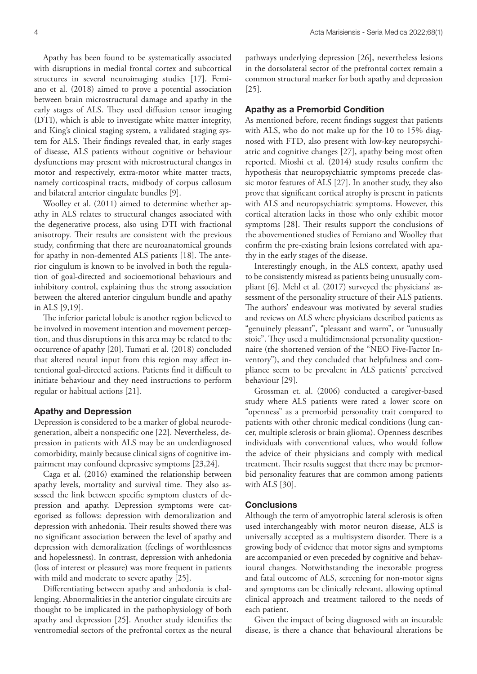Apathy has been found to be systematically associated with disruptions in medial frontal cortex and subcortical structures in several neuroimaging studies [17]. Femiano et al. (2018) aimed to prove a potential association between brain microstructural damage and apathy in the early stages of ALS. They used diffusion tensor imaging (DTI), which is able to investigate white matter integrity, and King's clinical staging system, a validated staging system for ALS. Their findings revealed that, in early stages of disease, ALS patients without cognitive or behaviour dysfunctions may present with microstructural changes in motor and respectively, extra-motor white matter tracts, namely corticospinal tracts, midbody of corpus callosum and bilateral anterior cingulate bundles [9].

Woolley et al. (2011) aimed to determine whether apathy in ALS relates to structural changes associated with the degenerative process, also using DTI with fractional anisotropy. Their results are consistent with the previous study, confirming that there are neuroanatomical grounds for apathy in non-demented ALS patients [18]. The anterior cingulum is known to be involved in both the regulation of goal-directed and socioemotional behaviours and inhibitory control, explaining thus the strong association between the altered anterior cingulum bundle and apathy in ALS [9,19].

The inferior parietal lobule is another region believed to be involved in movement intention and movement perception, and thus disruptions in this area may be related to the occurrence of apathy [20]. Tumati et al. (2018) concluded that altered neural input from this region may affect intentional goal-directed actions. Patients find it difficult to initiate behaviour and they need instructions to perform regular or habitual actions [21].

# Apathy and Depression

Depression is considered to be a marker of global neurodegeneration, albeit a nonspecific one [22]. Nevertheless, depression in patients with ALS may be an underdiagnosed comorbidity, mainly because clinical signs of cognitive impairment may confound depressive symptoms [23,24].

Caga et al. (2016) examined the relationship between apathy levels, mortality and survival time. They also assessed the link between specific symptom clusters of depression and apathy. Depression symptoms were categorised as follows: depression with demoralization and depression with anhedonia. Their results showed there was no significant association between the level of apathy and depression with demoralization (feelings of worthlessness and hopelessness). In contrast, depression with anhedonia (loss of interest or pleasure) was more frequent in patients with mild and moderate to severe apathy [25].

Differentiating between apathy and anhedonia is challenging. Abnormalities in the anterior cingulate circuits are thought to be implicated in the pathophysiology of both apathy and depression [25]. Another study identifies the ventromedial sectors of the prefrontal cortex as the neural

pathways underlying depression [26], nevertheless lesions in the dorsolateral sector of the prefrontal cortex remain a common structural marker for both apathy and depression [25].

# Apathy as a Premorbid Condition

As mentioned before, recent findings suggest that patients with ALS, who do not make up for the 10 to 15% diagnosed with FTD, also present with low-key neuropsychiatric and cognitive changes [27], apathy being most often reported. Mioshi et al. (2014) study results confirm the hypothesis that neuropsychiatric symptoms precede classic motor features of ALS [27]. In another study, they also prove that significant cortical atrophy is present in patients with ALS and neuropsychiatric symptoms. However, this cortical alteration lacks in those who only exhibit motor symptoms [28]. Their results support the conclusions of the abovementioned studies of Femiano and Woolley that confirm the pre-existing brain lesions correlated with apathy in the early stages of the disease.

Interestingly enough, in the ALS context, apathy used to be consistently misread as patients being unusually compliant [6]. Mehl et al. (2017) surveyed the physicians' assessment of the personality structure of their ALS patients. The authors' endeavour was motivated by several studies and reviews on ALS where physicians described patients as "genuinely pleasant", "pleasant and warm", or "unusually stoic". They used a multidimensional personality questionnaire (the shortened version of the "NEO Five-Factor Inventory"), and they concluded that helpfulness and compliance seem to be prevalent in ALS patients' perceived behaviour [29].

Grossman et. al. (2006) conducted a caregiver-based study where ALS patients were rated a lower score on "openness" as a premorbid personality trait compared to patients with other chronic medical conditions (lung cancer, multiple sclerosis or brain glioma). Openness describes individuals with conventional values, who would follow the advice of their physicians and comply with medical treatment. Their results suggest that there may be premorbid personality features that are common among patients with ALS [30].

# **Conclusions**

Although the term of amyotrophic lateral sclerosis is often used interchangeably with motor neuron disease, ALS is universally accepted as a multisystem disorder. There is a growing body of evidence that motor signs and symptoms are accompanied or even preceded by cognitive and behavioural changes. Notwithstanding the inexorable progress and fatal outcome of ALS, screening for non-motor signs and symptoms can be clinically relevant, allowing optimal clinical approach and treatment tailored to the needs of each patient.

Given the impact of being diagnosed with an incurable disease, is there a chance that behavioural alterations be